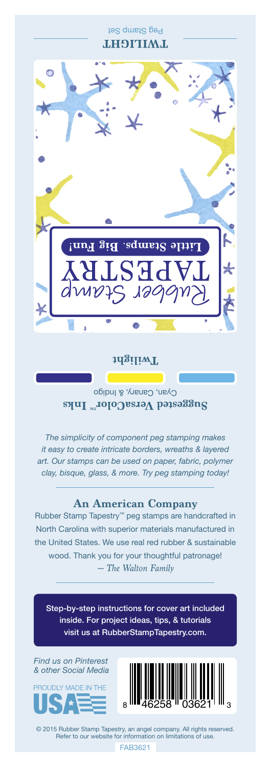Peg Stamp Set **THAILIGHT** 



### **Twilight**

Cyan, Canary, & Indigo **Suggested VersaColor** Inks

*The simplicity of component peg stamping makes it easy to create intricate borders, wreaths & layered art. Our stamps can be used on paper, fabric, polymer clay, bisque, glass, & more. Try peg stamping today!*

## **An American Company**

*— The Walton Family* Rubber Stamp Tapestry™ peg stamps are handcrafted in North Carolina with superior materials manufactured in the United States. We use real red rubber & sustainable wood. Thank you for your thoughtful patronage!

Step-by-step instructions for cover art included inside. For project ideas, tips, & tutorials visit us at RubberStampTapestry.com.

*Find us on Pinterest & other Social Media*





© 2015 Rubber Stamp Tapestry, an angel company. All rights reserved. Refer to our website for information on limitations of use.